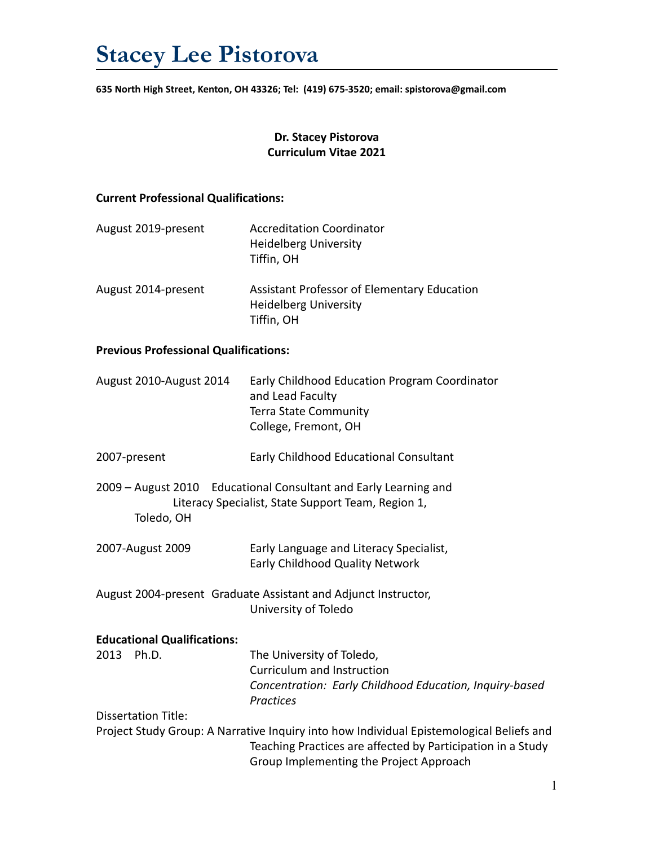**635 North High Street, Kenton, OH 43326; Tel: (419) 675-3520; email: spistorova@gmail.com**

## **Dr. Stacey Pistorova Curriculum Vitae 2021**

#### **Current Professional Qualifications:**

| August 2019-present | <b>Accreditation Coordinator</b><br><b>Heidelberg University</b><br>Tiffin, OH            |
|---------------------|-------------------------------------------------------------------------------------------|
| August 2014-present | Assistant Professor of Elementary Education<br><b>Heidelberg University</b><br>Tiffin, OH |

#### **Previous Professional Qualifications:**

| August 2010-August 2014 | Early Childhood Education Program Coordinator |
|-------------------------|-----------------------------------------------|
|                         | and Lead Faculty                              |
|                         | <b>Terra State Community</b>                  |
|                         | College, Fremont, OH                          |

- 2007-present Early Childhood Educational Consultant
- 2009 August 2010 Educational Consultant and Early Learning and Literacy Specialist, State Support Team, Region 1, Toledo, OH
- 2007-August 2009 Early Language and Literacy Specialist, Early Childhood Quality Network
- August 2004-present Graduate Assistant and Adjunct Instructor, University of Toledo

#### **Educational Qualifications:**

2013 Ph.D. The University of Toledo, Curriculum and Instruction *Concentration: Early Childhood Education, Inquiry-based Practices*

Dissertation Title:

Project Study Group: A Narrative Inquiry into how Individual Epistemological Beliefs and Teaching Practices are affected by Participation in a Study Group Implementing the Project Approach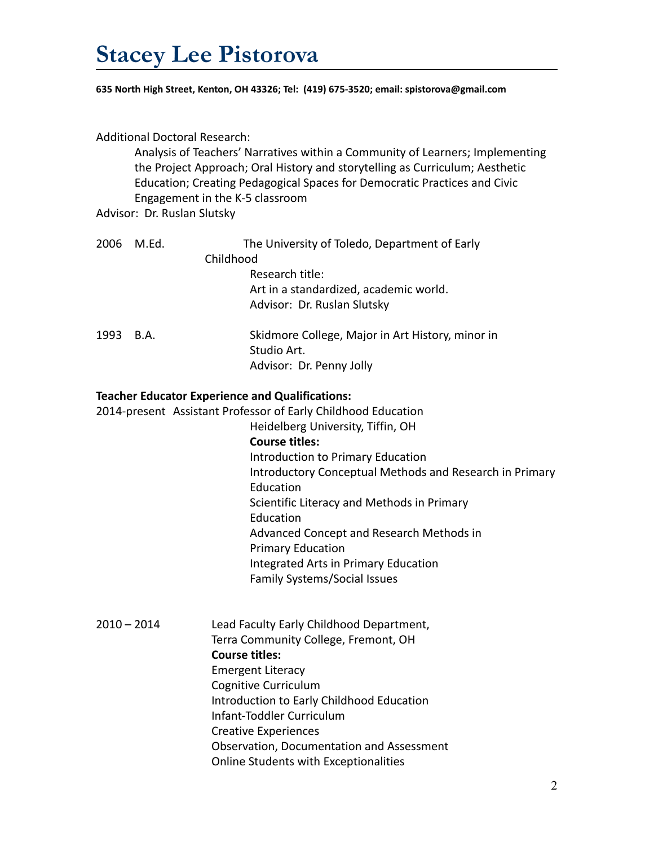**635 North High Street, Kenton, OH 43326; Tel: (419) 675-3520; email: spistorova@gmail.com**

| <b>Additional Doctoral Research:</b><br>Analysis of Teachers' Narratives within a Community of Learners; Implementing<br>the Project Approach; Oral History and storytelling as Curriculum; Aesthetic<br>Education; Creating Pedagogical Spaces for Democratic Practices and Civic<br>Engagement in the K-5 classroom<br>Advisor: Dr. Ruslan Slutsky |       |                                                                                                                         |  |
|------------------------------------------------------------------------------------------------------------------------------------------------------------------------------------------------------------------------------------------------------------------------------------------------------------------------------------------------------|-------|-------------------------------------------------------------------------------------------------------------------------|--|
| 2006                                                                                                                                                                                                                                                                                                                                                 | M.Ed. | The University of Toledo, Department of Early                                                                           |  |
|                                                                                                                                                                                                                                                                                                                                                      |       | Childhood                                                                                                               |  |
|                                                                                                                                                                                                                                                                                                                                                      |       | Research title:                                                                                                         |  |
|                                                                                                                                                                                                                                                                                                                                                      |       | Art in a standardized, academic world.                                                                                  |  |
|                                                                                                                                                                                                                                                                                                                                                      |       | Advisor: Dr. Ruslan Slutsky                                                                                             |  |
| 1993                                                                                                                                                                                                                                                                                                                                                 | B.A.  | Skidmore College, Major in Art History, minor in                                                                        |  |
|                                                                                                                                                                                                                                                                                                                                                      |       | Studio Art.                                                                                                             |  |
|                                                                                                                                                                                                                                                                                                                                                      |       | Advisor: Dr. Penny Jolly                                                                                                |  |
|                                                                                                                                                                                                                                                                                                                                                      |       | <b>Teacher Educator Experience and Qualifications:</b><br>2014-present Assistant Professor of Early Childhood Education |  |
|                                                                                                                                                                                                                                                                                                                                                      |       | Heidelberg University, Tiffin, OH                                                                                       |  |
|                                                                                                                                                                                                                                                                                                                                                      |       | <b>Course titles:</b>                                                                                                   |  |
|                                                                                                                                                                                                                                                                                                                                                      |       | Introduction to Primary Education                                                                                       |  |
|                                                                                                                                                                                                                                                                                                                                                      |       | Introductory Conceptual Methods and Research in Primary                                                                 |  |
|                                                                                                                                                                                                                                                                                                                                                      |       | Education                                                                                                               |  |
|                                                                                                                                                                                                                                                                                                                                                      |       | Scientific Literacy and Methods in Primary                                                                              |  |
|                                                                                                                                                                                                                                                                                                                                                      |       | Education                                                                                                               |  |
|                                                                                                                                                                                                                                                                                                                                                      |       | Advanced Concept and Research Methods in                                                                                |  |
|                                                                                                                                                                                                                                                                                                                                                      |       | <b>Primary Education</b>                                                                                                |  |
|                                                                                                                                                                                                                                                                                                                                                      |       | Integrated Arts in Primary Education                                                                                    |  |
|                                                                                                                                                                                                                                                                                                                                                      |       | Family Systems/Social Issues                                                                                            |  |
|                                                                                                                                                                                                                                                                                                                                                      |       |                                                                                                                         |  |
| $2010 - 2014$                                                                                                                                                                                                                                                                                                                                        |       | Lead Faculty Early Childhood Department,                                                                                |  |
|                                                                                                                                                                                                                                                                                                                                                      |       | Terra Community College, Fremont, OH                                                                                    |  |
|                                                                                                                                                                                                                                                                                                                                                      |       | <b>Course titles:</b>                                                                                                   |  |
|                                                                                                                                                                                                                                                                                                                                                      |       | <b>Emergent Literacy</b>                                                                                                |  |
|                                                                                                                                                                                                                                                                                                                                                      |       | Cognitive Curriculum                                                                                                    |  |
|                                                                                                                                                                                                                                                                                                                                                      |       | Introduction to Early Childhood Education<br>Infant-Toddler Curriculum                                                  |  |
|                                                                                                                                                                                                                                                                                                                                                      |       | <b>Creative Experiences</b>                                                                                             |  |
|                                                                                                                                                                                                                                                                                                                                                      |       | Observation, Documentation and Assessment                                                                               |  |
|                                                                                                                                                                                                                                                                                                                                                      |       | Online Students with Exceptionalities                                                                                   |  |
|                                                                                                                                                                                                                                                                                                                                                      |       |                                                                                                                         |  |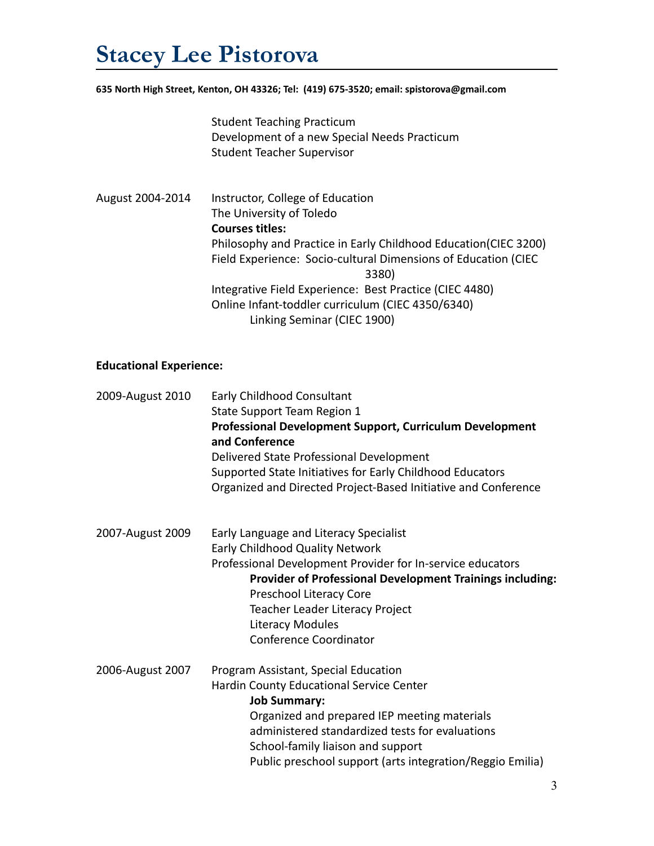**635 North High Street, Kenton, OH 43326; Tel: (419) 675-3520; email: spistorova@gmail.com**

Student Teaching Practicum Development of a new Special Needs Practicum Student Teacher Supervisor

August 2004-2014 Instructor, College of Education The University of Toledo **Courses titles:** Philosophy and Practice in Early Childhood Education(CIEC 3200) Field Experience: Socio-cultural Dimensions of Education (CIEC 3380) Integrative Field Experience: Best Practice (CIEC 4480) Online Infant-toddler curriculum (CIEC 4350/6340) Linking Seminar (CIEC 1900)

### **Educational Experience:**

| 2009-August 2010 | <b>Early Childhood Consultant</b><br>State Support Team Region 1<br>Professional Development Support, Curriculum Development<br>and Conference<br>Delivered State Professional Development<br>Supported State Initiatives for Early Childhood Educators<br>Organized and Directed Project-Based Initiative and Conference      |
|------------------|--------------------------------------------------------------------------------------------------------------------------------------------------------------------------------------------------------------------------------------------------------------------------------------------------------------------------------|
| 2007-August 2009 | Early Language and Literacy Specialist<br>Early Childhood Quality Network<br>Professional Development Provider for In-service educators<br><b>Provider of Professional Development Trainings including:</b><br>Preschool Literacy Core<br>Teacher Leader Literacy Project<br>Literacy Modules<br><b>Conference Coordinator</b> |
| 2006-August 2007 | Program Assistant, Special Education<br>Hardin County Educational Service Center<br><b>Job Summary:</b><br>Organized and prepared IEP meeting materials<br>administered standardized tests for evaluations<br>School-family liaison and support<br>Public preschool support (arts integration/Reggio Emilia)                   |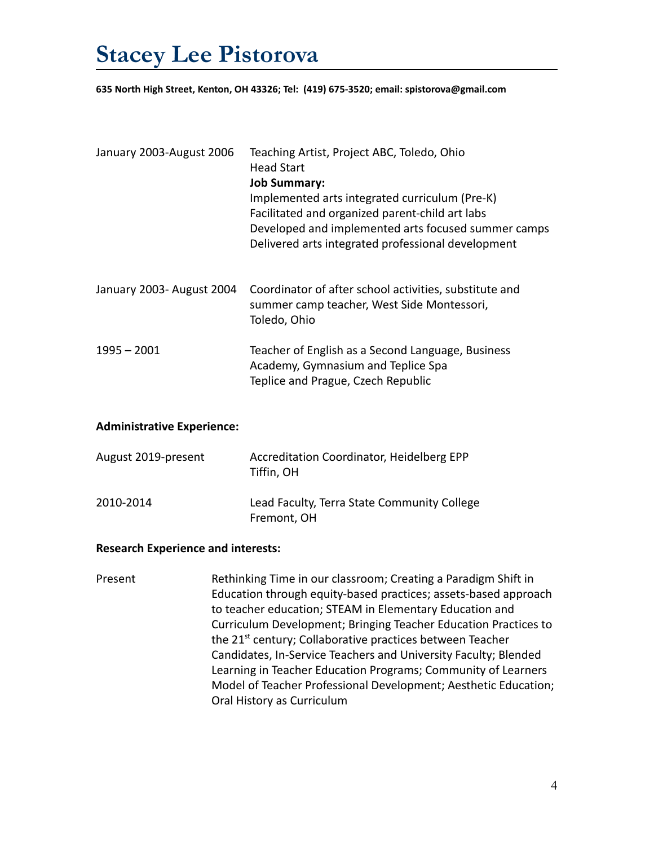**635 North High Street, Kenton, OH 43326; Tel: (419) 675-3520; email: spistorova@gmail.com**

| January 2003-August 2006  | Teaching Artist, Project ABC, Toledo, Ohio<br><b>Head Start</b><br><b>Job Summary:</b><br>Implemented arts integrated curriculum (Pre-K)<br>Facilitated and organized parent-child art labs<br>Developed and implemented arts focused summer camps<br>Delivered arts integrated professional development |
|---------------------------|----------------------------------------------------------------------------------------------------------------------------------------------------------------------------------------------------------------------------------------------------------------------------------------------------------|
| January 2003- August 2004 | Coordinator of after school activities, substitute and<br>summer camp teacher, West Side Montessori,<br>Toledo, Ohio                                                                                                                                                                                     |
| $1995 - 2001$             | Teacher of English as a Second Language, Business<br>Academy, Gymnasium and Teplice Spa<br>Teplice and Prague, Czech Republic                                                                                                                                                                            |

#### **Administrative Experience:**

| August 2019-present | Accreditation Coordinator, Heidelberg EPP<br>Tiffin, OH    |
|---------------------|------------------------------------------------------------|
| 2010-2014           | Lead Faculty, Terra State Community College<br>Fremont, OH |

#### **Research Experience and interests:**

Present Rethinking Time in our classroom; Creating a Paradigm Shift in Education through equity-based practices; assets-based approach to teacher education; STEAM in Elementary Education and Curriculum Development; Bringing Teacher Education Practices to the 21<sup>st</sup> century; Collaborative practices between Teacher Candidates, In-Service Teachers and University Faculty; Blended Learning in Teacher Education Programs; Community of Learners Model of Teacher Professional Development; Aesthetic Education; Oral History as Curriculum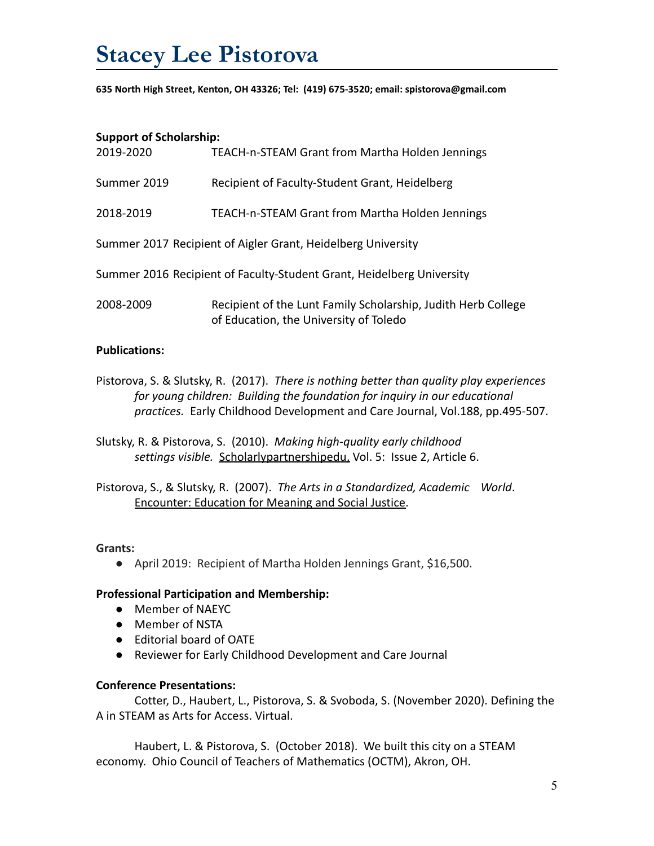**635 North High Street, Kenton, OH 43326; Tel: (419) 675-3520; email: spistorova@gmail.com**

#### **Support of Scholarship:**

| 2019-2020                                                             | TEACH-n-STEAM Grant from Martha Holden Jennings                                                         |  |
|-----------------------------------------------------------------------|---------------------------------------------------------------------------------------------------------|--|
| Summer 2019                                                           | Recipient of Faculty-Student Grant, Heidelberg                                                          |  |
| 2018-2019                                                             | TEACH-n-STEAM Grant from Martha Holden Jennings                                                         |  |
| Summer 2017 Recipient of Aigler Grant, Heidelberg University          |                                                                                                         |  |
| Summer 2016 Recipient of Faculty-Student Grant, Heidelberg University |                                                                                                         |  |
| 2008-2009                                                             | Recipient of the Lunt Family Scholarship, Judith Herb College<br>of Education, the University of Toledo |  |

## **Publications:**

- Pistorova, S. & Slutsky, R. (2017). *There is nothing better than quality play experiences for young children: Building the foundation for inquiry in our educational practices.* Early Childhood Development and Care Journal, Vol.188, pp.495-507.
- Slutsky, R. & Pistorova, S. (2010). *Making high-quality early childhood settings visible.* Scholarlypartnershipedu, Vol. 5: Issue 2, Article 6.

Pistorova, S., & Slutsky, R. (2007). *The Arts in a Standardized, Academic World*. Encounter: Education for Meaning and Social Justice.

### **Grants:**

● April 2019: Recipient of Martha Holden Jennings Grant, \$16,500.

### **Professional Participation and Membership:**

- Member of NAEYC
- Member of NSTA
- Editorial board of OATE
- Reviewer for Early Childhood Development and Care Journal

### **Conference Presentations:**

Cotter, D., Haubert, L., Pistorova, S. & Svoboda, S. (November 2020). Defining the A in STEAM as Arts for Access. Virtual.

Haubert, L. & Pistorova, S. (October 2018). We built this city on a STEAM economy. Ohio Council of Teachers of Mathematics (OCTM), Akron, OH.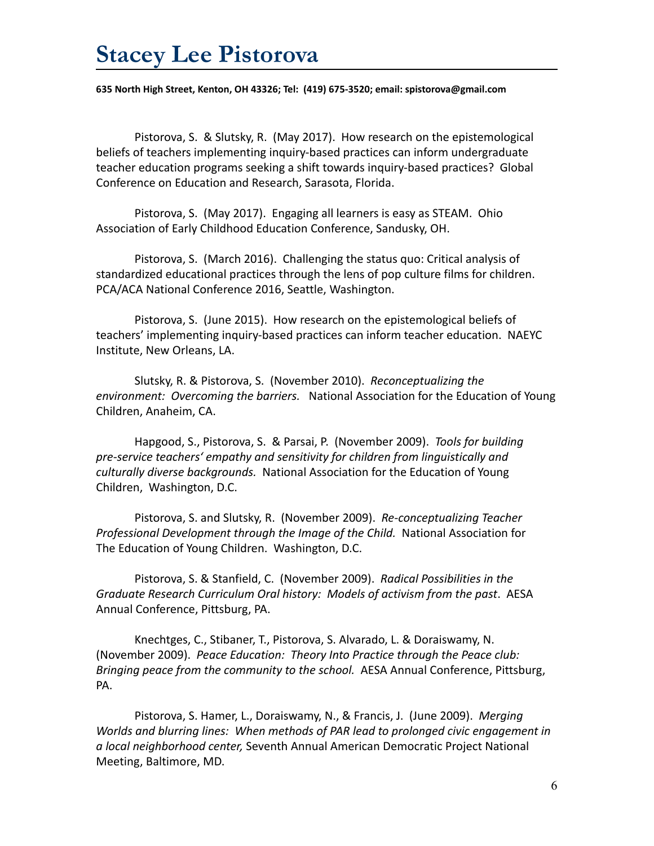**635 North High Street, Kenton, OH 43326; Tel: (419) 675-3520; email: spistorova@gmail.com**

Pistorova, S. & Slutsky, R. (May 2017). How research on the epistemological beliefs of teachers implementing inquiry-based practices can inform undergraduate teacher education programs seeking a shift towards inquiry-based practices? Global Conference on Education and Research, Sarasota, Florida.

Pistorova, S. (May 2017). Engaging all learners is easy as STEAM. Ohio Association of Early Childhood Education Conference, Sandusky, OH.

Pistorova, S. (March 2016). Challenging the status quo: Critical analysis of standardized educational practices through the lens of pop culture films for children. PCA/ACA National Conference 2016, Seattle, Washington.

Pistorova, S. (June 2015). How research on the epistemological beliefs of teachers' implementing inquiry-based practices can inform teacher education. NAEYC Institute, New Orleans, LA.

Slutsky, R. & Pistorova, S. (November 2010). *Reconceptualizing the environment: Overcoming the barriers.* National Association for the Education of Young Children, Anaheim, CA.

Hapgood, S., Pistorova, S. & Parsai, P. (November 2009). *Tools for building pre-service teachers' empathy and sensitivity for children from linguistically and culturally diverse backgrounds.* National Association for the Education of Young Children, Washington, D.C.

Pistorova, S. and Slutsky, R. (November 2009). *Re-conceptualizing Teacher Professional Development through the Image of the Child.* National Association for The Education of Young Children. Washington, D.C.

Pistorova, S. & Stanfield, C. (November 2009). *Radical Possibilities in the Graduate Research Curriculum Oral history: Models of activism from the past*. AESA Annual Conference, Pittsburg, PA.

Knechtges, C., Stibaner, T., Pistorova, S. Alvarado, L. & Doraiswamy, N. (November 2009). *Peace Education: Theory Into Practice through the Peace club: Bringing peace from the community to the school.* AESA Annual Conference, Pittsburg, PA.

Pistorova, S. Hamer, L., Doraiswamy, N., & Francis, J. (June 2009). *Merging Worlds and blurring lines: When methods of PAR lead to prolonged civic engagement in a local neighborhood center,* Seventh Annual American Democratic Project National Meeting, Baltimore, MD.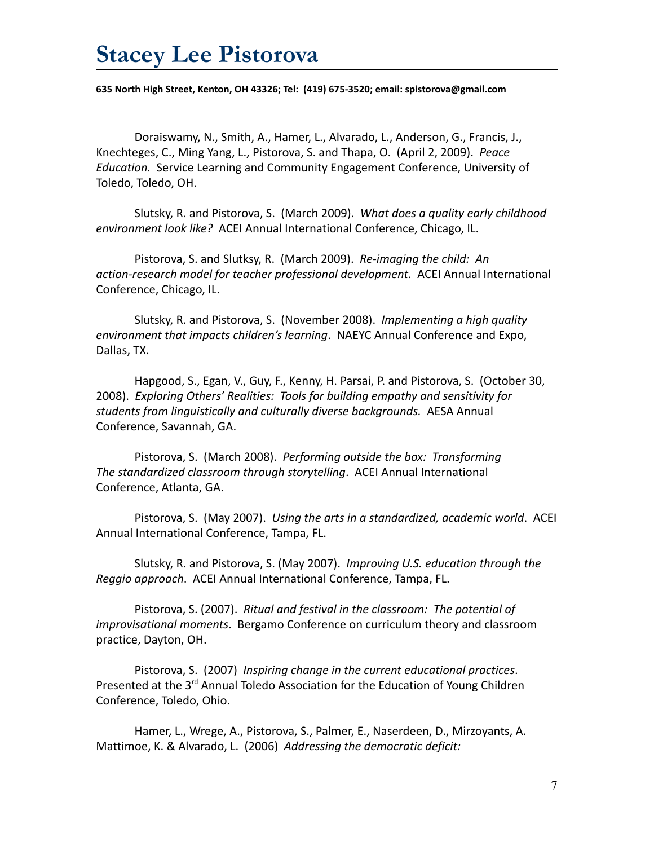**635 North High Street, Kenton, OH 43326; Tel: (419) 675-3520; email: spistorova@gmail.com**

Doraiswamy, N., Smith, A., Hamer, L., Alvarado, L., Anderson, G., Francis, J., Knechteges, C., Ming Yang, L., Pistorova, S. and Thapa, O. (April 2, 2009). *Peace Education.* Service Learning and Community Engagement Conference, University of Toledo, Toledo, OH.

Slutsky, R. and Pistorova, S. (March 2009). *What does a quality early childhood environment look like?* ACEI Annual International Conference, Chicago, IL.

Pistorova, S. and Slutksy, R. (March 2009). *Re-imaging the child: An action-research model for teacher professional development*. ACEI Annual International Conference, Chicago, IL.

Slutsky, R. and Pistorova, S. (November 2008). *Implementing a high quality environment that impacts children's learning*. NAEYC Annual Conference and Expo, Dallas, TX.

Hapgood, S., Egan, V., Guy, F., Kenny, H. Parsai, P. and Pistorova, S. (October 30, 2008). *Exploring Others' Realities: Tools for building empathy and sensitivity for students from linguistically and culturally diverse backgrounds.* AESA Annual Conference, Savannah, GA.

Pistorova, S. (March 2008). *Performing outside the box: Transforming The standardized classroom through storytelling*. ACEI Annual International Conference, Atlanta, GA.

Pistorova, S. (May 2007). *Using the arts in a standardized, academic world*. ACEI Annual International Conference, Tampa, FL.

Slutsky, R. and Pistorova, S. (May 2007). *Improving U.S. education through the Reggio approach*. ACEI Annual International Conference, Tampa, FL.

Pistorova, S. (2007). *Ritual and festival in the classroom: The potential of improvisational moments*. Bergamo Conference on curriculum theory and classroom practice, Dayton, OH.

Pistorova, S. (2007) *Inspiring change in the current educational practices*. Presented at the 3<sup>rd</sup> Annual Toledo Association for the Education of Young Children Conference, Toledo, Ohio.

Hamer, L., Wrege, A., Pistorova, S., Palmer, E., Naserdeen, D., Mirzoyants, A. Mattimoe, K. & Alvarado, L. (2006) *Addressing the democratic deficit:*